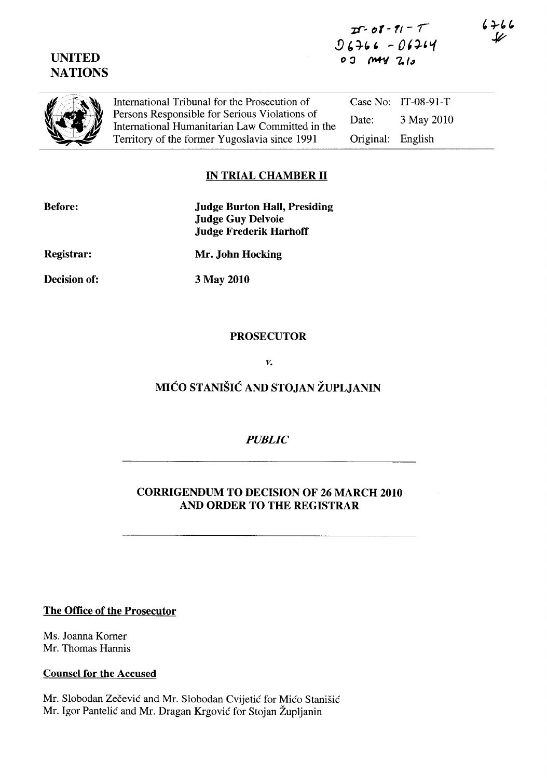# UNITED **NATIONS**



International Tribunal for the Prosecution of Persons Responsible for Serious Violations of International Humanitarian Law Committed in the Territory of the former Yugoslavia since 1991 Case No: IT-08-91-T Date: 3 May 2010 Original: English

## IN TRIAL CHAMBER 11

| <b>Before:</b> | <b>Judge Burton Hall, Presiding</b><br><b>Judge Guy Delvoie</b><br><b>Judge Frederik Harhoff</b> |
|----------------|--------------------------------------------------------------------------------------------------|
| Registrar:     | Mr. John Hocking                                                                                 |

Decision of:

3 May 2010

#### PROSECUTOR

*v.* 

# MICO STANISIC AND STOJAN ZUPLJANIN

## *PUBLIC*

# CORRIGENDUM TO DECISION OF 26 MARCH 2010 AND ORDER TO THE REGISTRAR

#### The Office of the Prosecutor

Ms. Joanna Komer Mr. Thomas Hannis

#### Counsel for the Accused

Mr. Slobodan Zečević and Mr. Slobodan Cvijetić for Mićo Stanišić Mr. Igor Pantelic and Mr. Dragan Krgovic for Stojan Zupljanin

 $6766$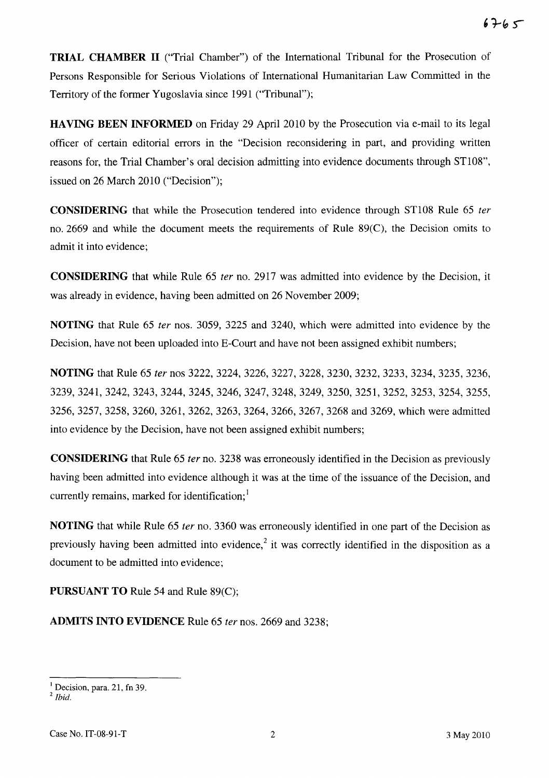**TRIAL CHAMBER 11** ("Trial Chamber") of the International Tribunal for the Prosecution of Persons Responsible for Serious Violations of International Humanitarian Law Committed in the Territory of the former Yugoslavia since 1991 ("Tribunal");

**HAVING BEEN INFORMED** on Friday 29 April 2010 by the Prosecution via e-mail to its legal officer of certain editorial errors in the "Decision reconsidering in part, and providing written reasons for, the Trial Chamber's oral decision admitting into evidence documents through ST108", issued on 26 March 2010 ("Decision");

**CONSIDERING** that while the Prosecution tendered into evidence through ST108 Rule 65 fer no. 2669 and while the document meets the requirements of Rule 89(C), the Decision omits to admit it into evidence;

**CONSIDERING** that while Rule 65 ter no. 2917 was admitted into evidence by the Decision, it was already in evidence, having been admitted on 26 November 2009;

**NOTING** that Rule 65 fer nos. 3059, 3225 and 3240, which were admitted into evidence by the Decision, have not been uploaded into E-Court and have not been assigned exhibit numbers;

**NOTING** that Rule 65 ter nos 3222, 3224, 3226, 3227, 3228, 3230, 3232, 3233, 3234, 3235, 3236, 3239,3241,3242,3243,3244,3245,3246,3247,3248, 3249, 3250, 3251, 3252, 3253, 3254, 3255, 3256,3257,3258,3260, 3261, 3262, 3263, 3264,3266,3267,3268 and 3269, which were admitted into evidence by the Decision, have not been assigned exhibit numbers;

**CONSIDERING** that Rule 65 fer no. 3238 was erroneously identified in the Decision as previously having been admitted into evidence although it was at the time of the issuance of the Decision, and currently remains, marked for identification; $<sup>1</sup>$ </sup>

**NOTING** that while Rule 65 ter no. 3360 was erroneously identified in one part of the Decision as previously having been admitted into evidence,<sup>2</sup> it was correctly identified in the disposition as a document to be admitted into evidence;

**PURSUANT TO** Rule 54 and Rule 89(C);

**ADMITS INTO EVIDENCE** Rule 65 fer nos. 2669 and 3238;

 $<sup>1</sup>$  Decision, para. 21, fn 39.</sup>

*<sup>2</sup> Ibid.*